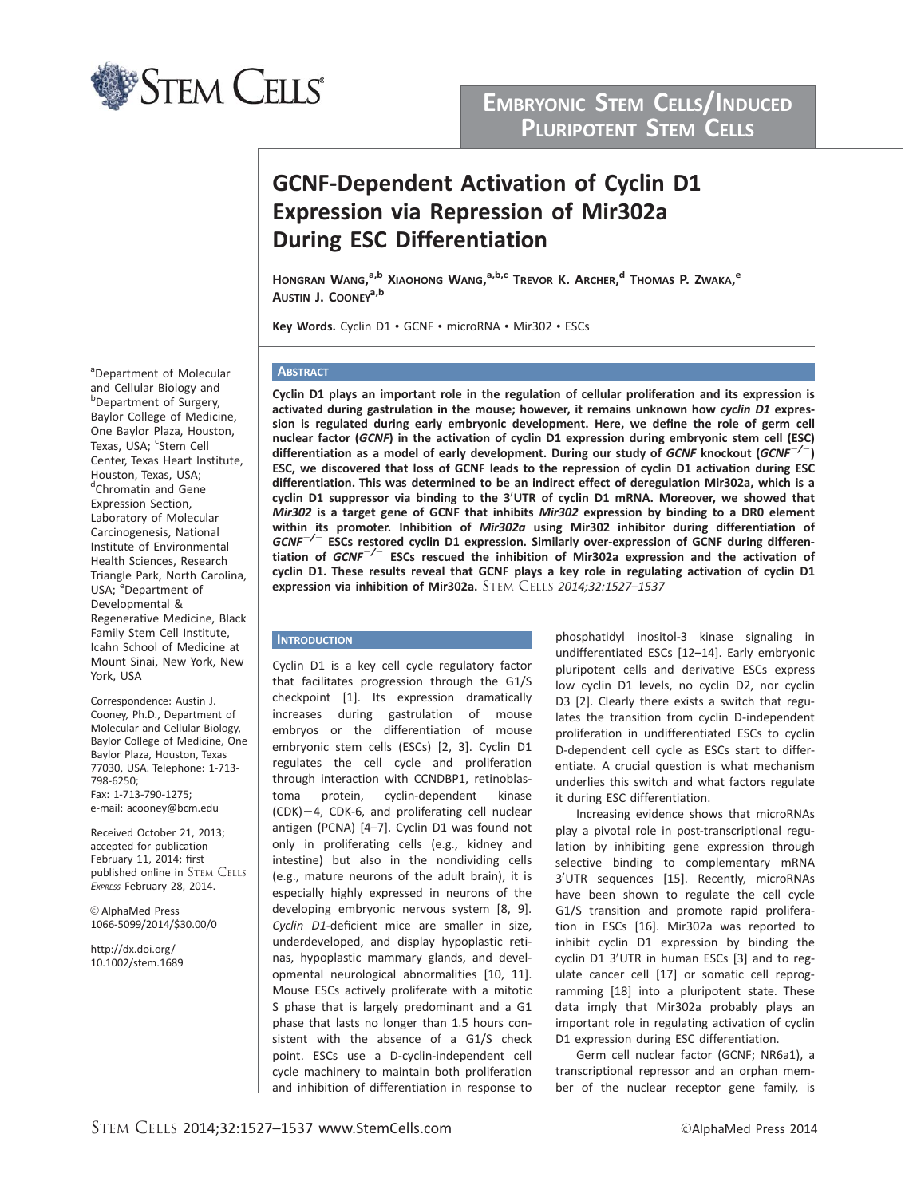

# EMBRYONIC STEM CELLS/INDUCED PLURIPOTENT STEM CELLS

# GCNF-Dependent Activation of Cyclin D1 Expression via Repression of Mir302a During ESC Differentiation

Hongran Wang,<sup>a,b</sup> Xiaohong Wang,<sup>a,b,c</sup> Trevor K. Archer,<sup>d</sup> Thomas P. Zwaka,<sup>e</sup> AUSTIN J. COONEY<sup>a,b</sup>

Key Words. Cyclin D1 • GCNF • microRNA • Mir302 • ESCs

# **ABSTRACT**

Cyclin D1 plays an important role in the regulation of cellular proliferation and its expression is activated during gastrulation in the mouse; however, it remains unknown how cyclin D1 expression is regulated during early embryonic development. Here, we define the role of germ cell nuclear factor (GCNF) in the activation of cyclin D1 expression during embryonic stem cell (ESC) differentiation as a model of early development. During our study of GCNF knockout (GCNF $^{-/}$ ESC, we discovered that loss of GCNF leads to the repression of cyclin D1 activation during ESC differentiation. This was determined to be an indirect effect of deregulation Mir302a, which is a cyclin D1 suppressor via binding to the 3'UTR of cyclin D1 mRNA. Moreover, we showed that Mir302 is a target gene of GCNF that inhibits Mir302 expression by binding to a DR0 element within its promoter. Inhibition of Mir302a using Mir302 inhibitor during differentiation of  $GCNF^{-/-}$  ESCs restored cyclin D1 expression. Similarly over-expression of GCNF during differentiation of  $GCNF^{-/-}$  ESCs rescued the inhibition of Mir302a expression and the activation of cyclin D1. These results reveal that GCNF plays a key role in regulating activation of cyclin D1 expression via inhibition of Mir302a. STEM CELLS 2014;32:1527–1537

# **INTRODUCTION**

Cyclin D1 is a key cell cycle regulatory factor that facilitates progression through the G1/S checkpoint [1]. Its expression dramatically increases during gastrulation of mouse embryos or the differentiation of mouse embryonic stem cells (ESCs) [2, 3]. Cyclin D1 regulates the cell cycle and proliferation through interaction with CCNDBP1, retinoblastoma protein, cyclin-dependent kinase  $(CDK)-4$ , CDK-6, and proliferating cell nuclear antigen (PCNA) [4–7]. Cyclin D1 was found not only in proliferating cells (e.g., kidney and intestine) but also in the nondividing cells (e.g., mature neurons of the adult brain), it is especially highly expressed in neurons of the developing embryonic nervous system [8, 9]. Cyclin D1-deficient mice are smaller in size, underdeveloped, and display hypoplastic retinas, hypoplastic mammary glands, and developmental neurological abnormalities [10, 11]. Mouse ESCs actively proliferate with a mitotic S phase that is largely predominant and a G1 phase that lasts no longer than 1.5 hours consistent with the absence of a G1/S check point. ESCs use a D-cyclin-independent cell cycle machinery to maintain both proliferation and inhibition of differentiation in response to phosphatidyl inositol-3 kinase signaling in undifferentiated ESCs [12–14]. Early embryonic pluripotent cells and derivative ESCs express low cyclin D1 levels, no cyclin D2, nor cyclin D3 [2]. Clearly there exists a switch that regulates the transition from cyclin D-independent proliferation in undifferentiated ESCs to cyclin D-dependent cell cycle as ESCs start to differentiate. A crucial question is what mechanism underlies this switch and what factors regulate it during ESC differentiation.

Increasing evidence shows that microRNAs play a pivotal role in post-transcriptional regulation by inhibiting gene expression through selective binding to complementary mRNA 3'UTR sequences [15]. Recently, microRNAs have been shown to regulate the cell cycle G1/S transition and promote rapid proliferation in ESCs [16]. Mir302a was reported to inhibit cyclin D1 expression by binding the cyclin D1 3'UTR in human ESCs [3] and to regulate cancer cell [17] or somatic cell reprogramming [18] into a pluripotent state. These data imply that Mir302a probably plays an important role in regulating activation of cyclin D1 expression during ESC differentiation.

Germ cell nuclear factor (GCNF; NR6a1), a transcriptional repressor and an orphan member of the nuclear receptor gene family, is

a Department of Molecular and Cellular Biology and b<br>Department of Surgery, Baylor College of Medicine, One Baylor Plaza, Houston, Texas, USA; cstem Cell Center, Texas Heart Institute, Houston, Texas, USA; d<br>Chromatin and Gene Expression Section, Laboratory of Molecular Carcinogenesis, National Institute of Environmental Health Sciences, Research Triangle Park, North Carolina, USA; <sup>e</sup>Department of Developmental & Regenerative Medicine, Black Family Stem Cell Institute, Icahn School of Medicine at Mount Sinai, New York, New York, USA

Correspondence: Austin J. Cooney, Ph.D., Department of Molecular and Cellular Biology, Baylor College of Medicine, One Baylor Plaza, Houston, Texas 77030, USA. Telephone: 1-713- 798-6250; Fax: 1-713-790-1275; e-mail: acooney@bcm.edu

Received October 21, 2013; accepted for publication February 11, 2014; first published online in STEM CELLS EXPRESS February 28, 2014.

V<sup>C</sup> AlphaMed Press 1066-5099/2014/\$30.00/0

http://dx.doi.org/ 10.1002/stem.1689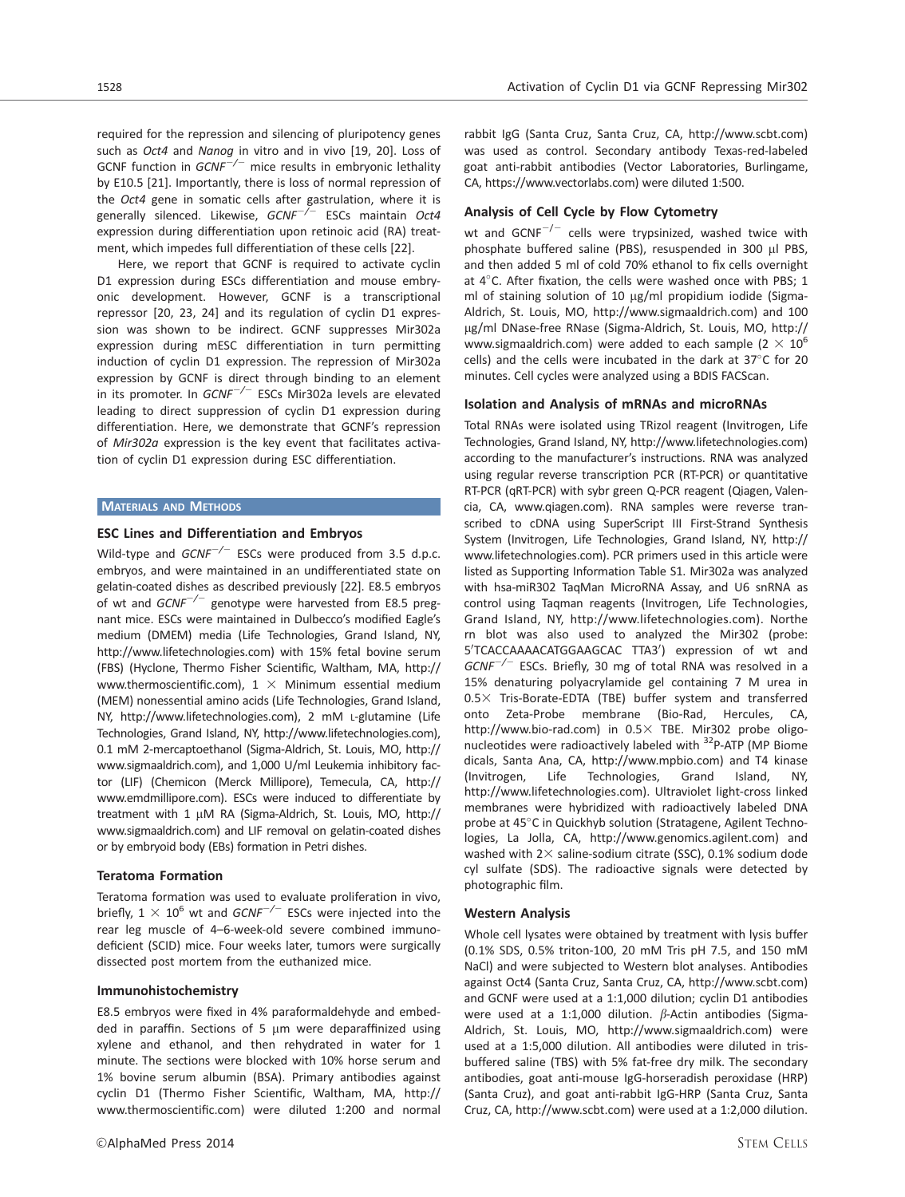required for the repression and silencing of pluripotency genes such as Oct4 and Nanog in vitro and in vivo [19, 20]. Loss of GCNF function in  $GCNF^{-/-}$  mice results in embryonic lethality by E10.5 [21]. Importantly, there is loss of normal repression of the Oct4 gene in somatic cells after gastrulation, where it is generally silenced. Likewise,  $GCNF^{-/-}$  ESCs maintain Oct4 expression during differentiation upon retinoic acid (RA) treatment, which impedes full differentiation of these cells [22].

Here, we report that GCNF is required to activate cyclin D1 expression during ESCs differentiation and mouse embryonic development. However, GCNF is a transcriptional repressor [20, 23, 24] and its regulation of cyclin D1 expression was shown to be indirect. GCNF suppresses Mir302a expression during mESC differentiation in turn permitting induction of cyclin D1 expression. The repression of Mir302a expression by GCNF is direct through binding to an element in its promoter. In  $GCNF^{-/-}$  ESCs Mir302a levels are elevated leading to direct suppression of cyclin D1 expression during differentiation. Here, we demonstrate that GCNF's repression of Mir302a expression is the key event that facilitates activation of cyclin D1 expression during ESC differentiation.

## MATERIALS AND METHODS

## ESC Lines and Differentiation and Embryos

Wild-type and  $GCNF^{-/-}$  ESCs were produced from 3.5 d.p.c. embryos, and were maintained in an undifferentiated state on gelatin-coated dishes as described previously [22]. E8.5 embryos of wt and  $GCNF^{-/-}$  genotype were harvested from E8.5 pregnant mice. ESCs were maintained in Dulbecco's modified Eagle's medium (DMEM) media (Life Technologies, Grand Island, NY, http://www.lifetechnologies.com) with 15% fetal bovine serum (FBS) (Hyclone, Thermo Fisher Scientific, Waltham, MA, http:// www.thermoscientific.com),  $1 \times$  Minimum essential medium (MEM) nonessential amino acids (Life Technologies, Grand Island, NY, http://www.lifetechnologies.com), 2 mM L-glutamine (Life Technologies, Grand Island, NY, http://www.lifetechnologies.com), 0.1 mM 2-mercaptoethanol (Sigma-Aldrich, St. Louis, MO, http:// www.sigmaaldrich.com), and 1,000 U/ml Leukemia inhibitory factor (LIF) (Chemicon (Merck Millipore), Temecula, CA, http:// www.emdmillipore.com). ESCs were induced to differentiate by treatment with 1 µM RA (Sigma-Aldrich, St. Louis, MO, http:// www.sigmaaldrich.com) and LIF removal on gelatin-coated dishes or by embryoid body (EBs) formation in Petri dishes.

## Teratoma Formation

Teratoma formation was used to evaluate proliferation in vivo, briefly,  $1 \times 10^6$  wt and GCNF<sup>-/-</sup> ESCs were injected into the rear leg muscle of 4–6-week-old severe combined immunodeficient (SCID) mice. Four weeks later, tumors were surgically dissected post mortem from the euthanized mice.

#### Immunohistochemistry

E8.5 embryos were fixed in 4% paraformaldehyde and embedded in paraffin. Sections of 5  $\mu$ m were deparaffinized using xylene and ethanol, and then rehydrated in water for 1 minute. The sections were blocked with 10% horse serum and 1% bovine serum albumin (BSA). Primary antibodies against cyclin D1 (Thermo Fisher Scientific, Waltham, MA, http:// www.thermoscientific.com) were diluted 1:200 and normal

rabbit IgG (Santa Cruz, Santa Cruz, CA, http://www.scbt.com) was used as control. Secondary antibody Texas-red-labeled goat anti-rabbit antibodies (Vector Laboratories, Burlingame, CA, https://www.vectorlabs.com) were diluted 1:500.

## Analysis of Cell Cycle by Flow Cytometry

wt and  $GCNF^{-/-}$  cells were trypsinized, washed twice with phosphate buffered saline (PBS), resuspended in 300 µl PBS, and then added 5 ml of cold 70% ethanol to fix cells overnight at 4°C. After fixation, the cells were washed once with PBS; 1 ml of staining solution of 10  $\mu$ g/ml propidium iodide (Sigma-Aldrich, St. Louis, MO, http://www.sigmaaldrich.com) and 100 µg/ml DNase-free RNase (Sigma-Aldrich, St. Louis, MO, http:// www.sigmaaldrich.com) were added to each sample (2  $\times$  10<sup>6</sup> cells) and the cells were incubated in the dark at  $37^{\circ}$ C for 20 minutes. Cell cycles were analyzed using a BDIS FACScan.

## Isolation and Analysis of mRNAs and microRNAs

Total RNAs were isolated using TRizol reagent (Invitrogen, Life Technologies, Grand Island, NY, http://www.lifetechnologies.com) according to the manufacturer's instructions. RNA was analyzed using regular reverse transcription PCR (RT-PCR) or quantitative RT-PCR (qRT-PCR) with sybr green Q-PCR reagent (Qiagen, Valencia, CA, www.qiagen.com). RNA samples were reverse transcribed to cDNA using SuperScript III First-Strand Synthesis System (Invitrogen, Life Technologies, Grand Island, NY, http:// www.lifetechnologies.com). PCR primers used in this article were listed as Supporting Information Table S1. Mir302a was analyzed with hsa-miR302 TaqMan MicroRNA Assay, and U6 snRNA as control using Taqman reagents (Invitrogen, Life Technologies, Grand Island, NY, http://www.lifetechnologies.com). Northe rn blot was also used to analyzed the Mir302 (probe: 5'TCACCAAAACATGGAAGCAC TTA3') expression of wt and  $GCNF^{-/-}$  ESCs. Briefly, 30 mg of total RNA was resolved in a 15% denaturing polyacrylamide gel containing 7 M urea in 0.53 Tris-Borate-EDTA (TBE) buffer system and transferred onto Zeta-Probe membrane (Bio-Rad, Hercules, CA, http://www.bio-rad.com) in  $0.5 \times$  TBE. Mir302 probe oligonucleotides were radioactively labeled with <sup>32</sup>P-ATP (MP Biome dicals, Santa Ana, CA, http://www.mpbio.com) and T4 kinase (Invitrogen, Life Technologies, Grand Island, NY, http://www.lifetechnologies.com). Ultraviolet light-cross linked membranes were hybridized with radioactively labeled DNA probe at 45°C in Quickhyb solution (Stratagene, Agilent Technologies, La Jolla, CA, http://www.genomics.agilent.com) and washed with  $2 \times$  saline-sodium citrate (SSC), 0.1% sodium dode cyl sulfate (SDS). The radioactive signals were detected by photographic film.

## Western Analysis

Whole cell lysates were obtained by treatment with lysis buffer (0.1% SDS, 0.5% triton-100, 20 mM Tris pH 7.5, and 150 mM NaCl) and were subjected to Western blot analyses. Antibodies against Oct4 (Santa Cruz, Santa Cruz, CA, http://www.scbt.com) and GCNF were used at a 1:1,000 dilution; cyclin D1 antibodies were used at a 1:1,000 dilution.  $\beta$ -Actin antibodies (Sigma-Aldrich, St. Louis, MO, http://www.sigmaaldrich.com) were used at a 1:5,000 dilution. All antibodies were diluted in trisbuffered saline (TBS) with 5% fat-free dry milk. The secondary antibodies, goat anti-mouse IgG-horseradish peroxidase (HRP) (Santa Cruz), and goat anti-rabbit IgG-HRP (Santa Cruz, Santa Cruz, CA, http://www.scbt.com) were used at a 1:2,000 dilution.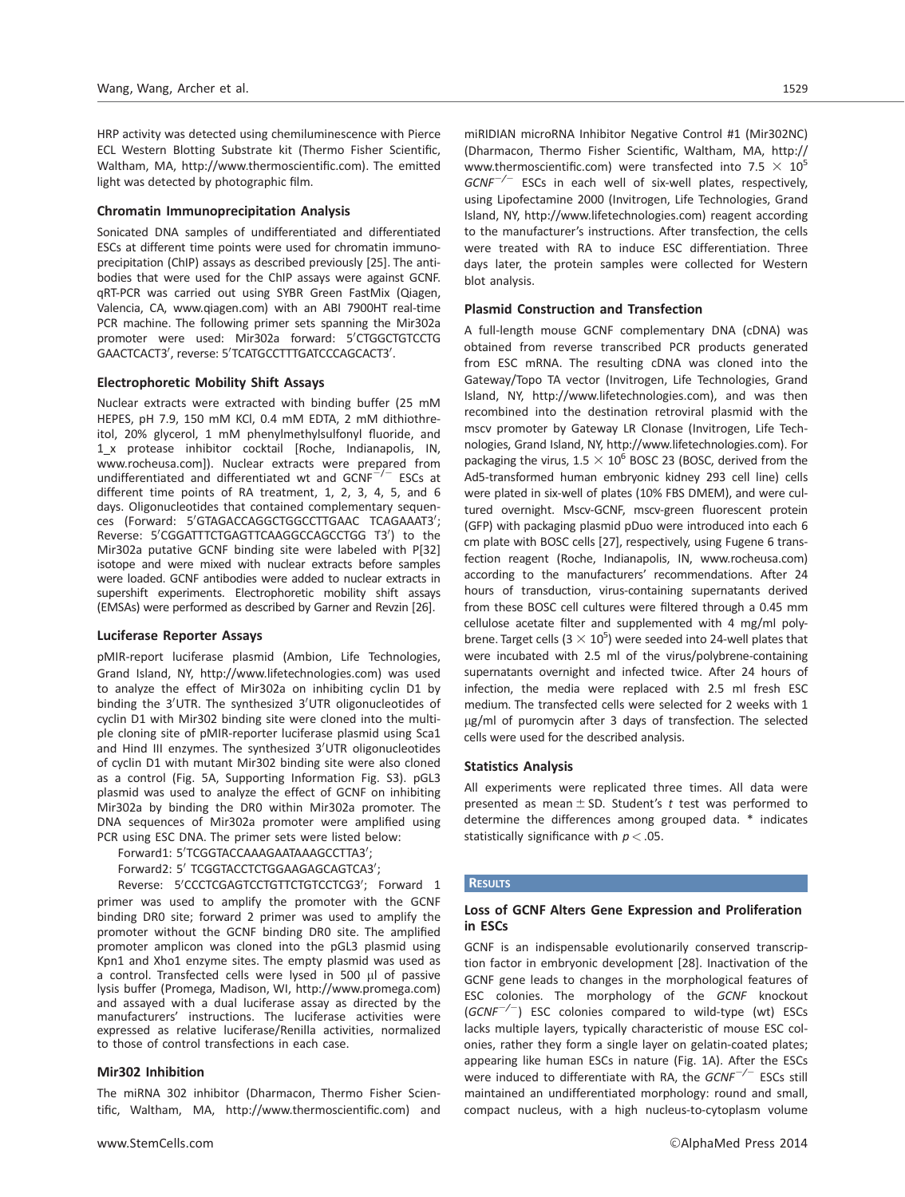HRP activity was detected using chemiluminescence with Pierce ECL Western Blotting Substrate kit (Thermo Fisher Scientific, Waltham, MA, http://www.thermoscientific.com). The emitted light was detected by photographic film.

## Chromatin Immunoprecipitation Analysis

Sonicated DNA samples of undifferentiated and differentiated ESCs at different time points were used for chromatin immunoprecipitation (ChIP) assays as described previously [25]. The antibodies that were used for the ChIP assays were against GCNF. qRT-PCR was carried out using SYBR Green FastMix (Qiagen, Valencia, CA, www.qiagen.com) with an ABI 7900HT real-time PCR machine. The following primer sets spanning the Mir302a promoter were used: Mir302a forward: 5'CTGGCTGTCCTG GAACTCACT3', reverse: 5'TCATGCCTTTGATCCCAGCACT3'.

### Electrophoretic Mobility Shift Assays

Nuclear extracts were extracted with binding buffer (25 mM HEPES, pH 7.9, 150 mM KCl, 0.4 mM EDTA, 2 mM dithiothreitol, 20% glycerol, 1 mM phenylmethylsulfonyl fluoride, and 1\_x protease inhibitor cocktail [Roche, Indianapolis, IN, www.rocheusa.com]). Nuclear extracts were prepared from undifferentiated and differentiated wt and  $GCNF^{-/-}$  ESCs at different time points of RA treatment, 1, 2, 3, 4, 5, and 6 days. Oligonucleotides that contained complementary sequences (Forward: 5'GTAGACCAGGCTGGCCTTGAAC TCAGAAAT3'; Reverse: 5'CGGATTTCTGAGTTCAAGGCCAGCCTGG T3') to the Mir302a putative GCNF binding site were labeled with P[32] isotope and were mixed with nuclear extracts before samples were loaded. GCNF antibodies were added to nuclear extracts in supershift experiments. Electrophoretic mobility shift assays (EMSAs) were performed as described by Garner and Revzin [26].

#### Luciferase Reporter Assays

pMIR-report luciferase plasmid (Ambion, Life Technologies, Grand Island, NY, http://www.lifetechnologies.com) was used to analyze the effect of Mir302a on inhibiting cyclin D1 by binding the 3'UTR. The synthesized 3'UTR oligonucleotides of cyclin D1 with Mir302 binding site were cloned into the multiple cloning site of pMIR-reporter luciferase plasmid using Sca1 and Hind III enzymes. The synthesized 3'UTR oligonucleotides of cyclin D1 with mutant Mir302 binding site were also cloned as a control (Fig. 5A, Supporting Information Fig. S3). pGL3 plasmid was used to analyze the effect of GCNF on inhibiting Mir302a by binding the DR0 within Mir302a promoter. The DNA sequences of Mir302a promoter were amplified using PCR using ESC DNA. The primer sets were listed below:

```
Forward1: 5'TCGGTACCAAAGAATAAAGCCTTA3';
```

```
Forward2: 5' TCGGTACCTCTGGAAGAGCAGTCA3';
```
Reverse: 5'CCCTCGAGTCCTGTTCTGTCCTCG3'; Forward 1 primer was used to amplify the promoter with the GCNF binding DR0 site; forward 2 primer was used to amplify the promoter without the GCNF binding DR0 site. The amplified promoter amplicon was cloned into the pGL3 plasmid using Kpn1 and Xho1 enzyme sites. The empty plasmid was used as a control. Transfected cells were lysed in 500  $\mu$ l of passive lysis buffer (Promega, Madison, WI, http://www.promega.com) and assayed with a dual luciferase assay as directed by the manufacturers' instructions. The luciferase activities were expressed as relative luciferase/Renilla activities, normalized to those of control transfections in each case.

# Mir302 Inhibition

The miRNA 302 inhibitor (Dharmacon, Thermo Fisher Scientific, Waltham, MA, http://www.thermoscientific.com) and miRIDIAN microRNA Inhibitor Negative Control #1 (Mir302NC) (Dharmacon, Thermo Fisher Scientific, Waltham, MA, http:// www.thermoscientific.com) were transfected into 7.5  $\times$  10<sup>5</sup>  $GCNF^{-/-}$  ESCs in each well of six-well plates, respectively, using Lipofectamine 2000 (Invitrogen, Life Technologies, Grand Island, NY, http://www.lifetechnologies.com) reagent according to the manufacturer's instructions. After transfection, the cells were treated with RA to induce ESC differentiation. Three days later, the protein samples were collected for Western blot analysis.

## Plasmid Construction and Transfection

A full-length mouse GCNF complementary DNA (cDNA) was obtained from reverse transcribed PCR products generated from ESC mRNA. The resulting cDNA was cloned into the Gateway/Topo TA vector (Invitrogen, Life Technologies, Grand Island, NY, http://www.lifetechnologies.com), and was then recombined into the destination retroviral plasmid with the mscv promoter by Gateway LR Clonase (Invitrogen, Life Technologies, Grand Island, NY, http://www.lifetechnologies.com). For packaging the virus,  $1.5 \times 10^6$  BOSC 23 (BOSC, derived from the Ad5-transformed human embryonic kidney 293 cell line) cells were plated in six-well of plates (10% FBS DMEM), and were cultured overnight. Mscv-GCNF, mscv-green fluorescent protein (GFP) with packaging plasmid pDuo were introduced into each 6 cm plate with BOSC cells [27], respectively, using Fugene 6 transfection reagent (Roche, Indianapolis, IN, www.rocheusa.com) according to the manufacturers' recommendations. After 24 hours of transduction, virus-containing supernatants derived from these BOSC cell cultures were filtered through a 0.45 mm cellulose acetate filter and supplemented with 4 mg/ml polybrene. Target cells  $(3 \times 10^5)$  were seeded into 24-well plates that were incubated with 2.5 ml of the virus/polybrene-containing supernatants overnight and infected twice. After 24 hours of infection, the media were replaced with 2.5 ml fresh ESC medium. The transfected cells were selected for 2 weeks with 1 µg/ml of puromycin after 3 days of transfection. The selected cells were used for the described analysis.

# Statistics Analysis

All experiments were replicated three times. All data were presented as mean  $\pm$  SD. Student's t test was performed to determine the differences among grouped data. \* indicates statistically significance with  $p < .05$ .

### **RESULTS**

# Loss of GCNF Alters Gene Expression and Proliferation in ESCs

GCNF is an indispensable evolutionarily conserved transcription factor in embryonic development [28]. Inactivation of the GCNF gene leads to changes in the morphological features of ESC colonies. The morphology of the GCNF knockout  $(GCNF^{-/-})$  ESC colonies compared to wild-type (wt) ESCs lacks multiple layers, typically characteristic of mouse ESC colonies, rather they form a single layer on gelatin-coated plates; appearing like human ESCs in nature (Fig. 1A). After the ESCs were induced to differentiate with RA, the  $GCNF^{-/-}$  ESCs still maintained an undifferentiated morphology: round and small, compact nucleus, with a high nucleus-to-cytoplasm volume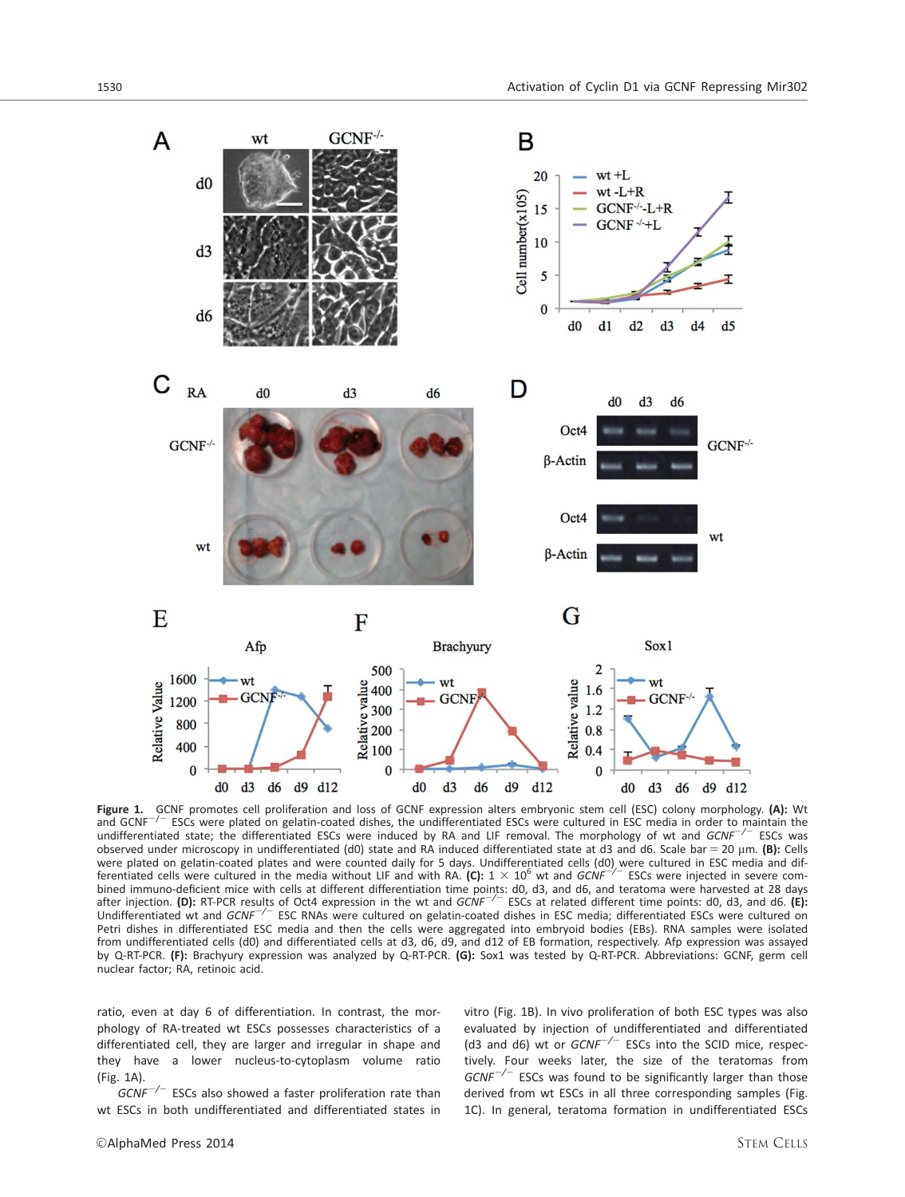

**Figure 1.** GCNF promotes cell proliferation and loss of GCNF expression alters embryonic stem cell (ESC) colony morphology. (A): Wt and GCNF<sup>-/-</sup> ESCs were plated on gelatin-coated dishes, the undifferentiated ESCs were ESCs were plated on gelatin-coated dishes, the undifferentiated ESCs were cultured in ESC media in order to maintain the undifferentiated state; the differentiated ESCs were induced by RA and LIF removal. The morphology of wt and GCNF<sup>-/-</sup> ESCs was observed under microscopy in undifferentiated (d0) state and RA induced differentiated state at d3 and d6. Scale bar = 20  $\mu$ m. (B): Cells were plated on gelatin-coated plates and were counted daily for 5 days. Undifferentiated cells (d0) were cultured in ESC media and dif-<br>ferentiated cells were cultured in the media without LIF and with RA. **(C):** 1 × 10<sup>6</sup> bined immuno-deficient mice with cells at different differentiation time points: d0, d3, and d6, and teratoma were harvested at 28 days<br>after injection. (D): RT-PCR results of Oct4 expression in the wt and *GCNF<sup>-/-</sup>* ESC Undifferentiated wt and GCNF<sup>-/-</sup> ESC RNAs were cultured on gelatin-coated dishes in ESC media; differentiated ESCs were cultured on Petri dishes in differentiated ESC media and then the cells were aggregated into embryoid bodies (EBs). RNA samples were isolated from undifferentiated cells (d0) and differentiated cells at d3, d6, d9, and d12 of EB formation, respectively. Afp expression was assayed by Q-RT-PCR. (F): Brachyury expression was analyzed by Q-RT-PCR. (G): Sox1 was tested by Q-RT-PCR. Abbreviations: GCNF, germ cell nuclear factor; RA, retinoic acid.

ratio, even at day 6 of differentiation. In contrast, the morphology of RA-treated wt ESCs possesses characteristics of a differentiated cell, they are larger and irregular in shape and they have a lower nucleus-to-cytoplasm volume ratio (Fig. 1A).

 $GCNF^{-/-}$  ESCs also showed a faster proliferation rate than wt ESCs in both undifferentiated and differentiated states in

vitro (Fig. 1B). In vivo proliferation of both ESC types was also evaluated by injection of undifferentiated and differentiated (d3 and d6) wt or  $GCNF^{-/-}$  ESCs into the SCID mice, respectively. Four weeks later, the size of the teratomas from  $GCNF^{-/-}$  ESCs was found to be significantly larger than those derived from wt ESCs in all three corresponding samples (Fig. 1C). In general, teratoma formation in undifferentiated ESCs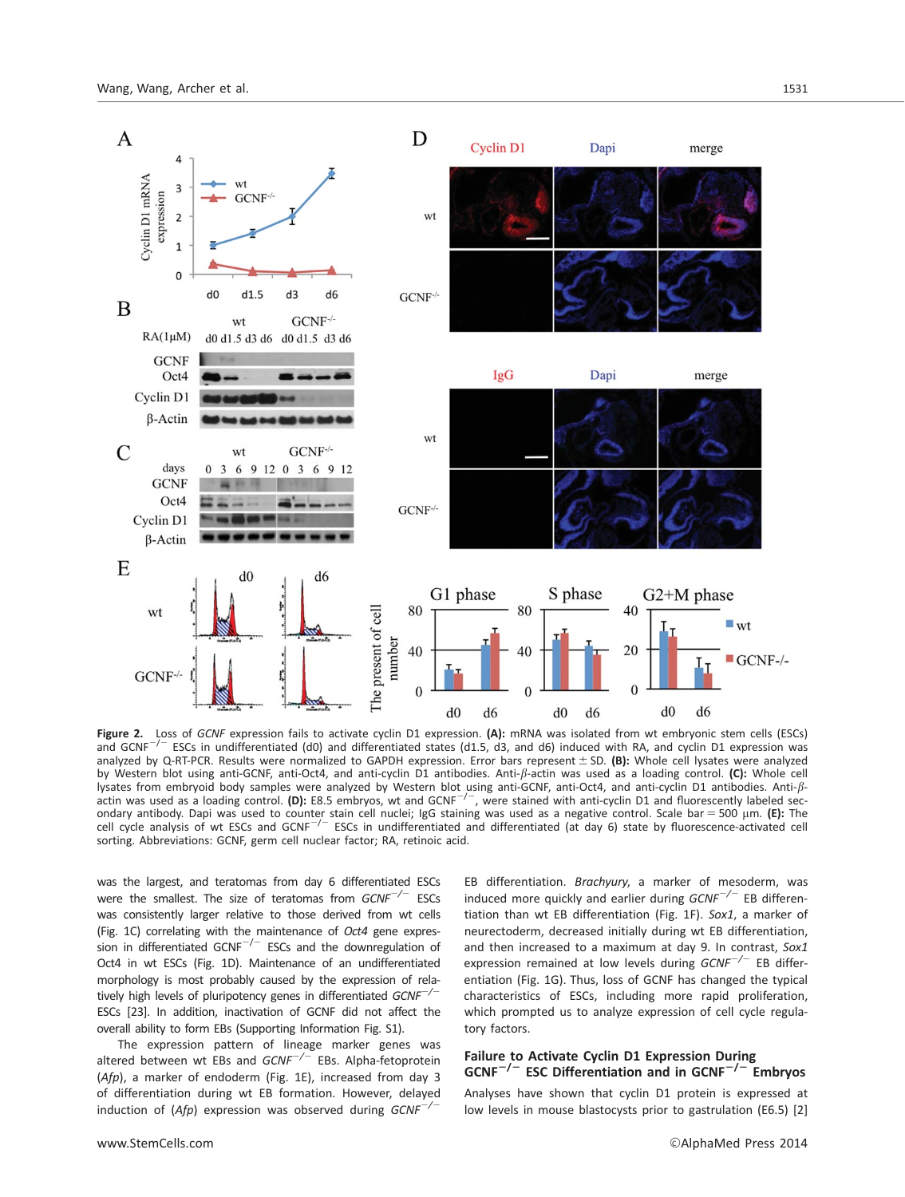

Figure 2. Loss of GCNF expression fails to activate cyclin D1 expression. (A): mRNA was isolated from wt embryonic stem cells (ESCs) and GCNF<sup>-/-</sup> ESCs in undifferentiated (d0) and differentiated states (d1.5, d3, and d6) induced with RA, and cyclin D1 expression was analyzed by Q-RT-PCR. Results were normalized to GAPDH expression. Error bars represent  $\pm$  SD. (B): Whole cell lysates were analyzed by Western blot using anti-GCNF, anti-Oct4, and anti-cyclin D1 antibodies. Anti- $\beta$ -actin was used as a loading control. (C): Whole cell lysates from embryoid body samples were analyzed by Western blot using anti-GCNF, anti-Oct4, and anti-cyclin D1 antibodies. Anti-ß-<br>actin was used as a loading control. (D): E8.5 embryos, wt and GCNF<sup>-/-</sup>, were stained wit ondary antibody. Dapi was used to counter stain cell nuclei; IgG staining was used as a negative control. Scale bar = 500 µm. (E): The cell cycle analysis of wt ESCs and GCNF<sup>-/-</sup> ESCs in undifferentiated and differentiated (at day 6) state by fluorescence-activated cell sorting. Abbreviations: GCNF, germ cell nuclear factor; RA, retinoic acid.

was the largest, and teratomas from day 6 differentiated ESCs were the smallest. The size of teratomas from  $GCNF^{-/-}$  ESCs was consistently larger relative to those derived from wt cells (Fig. 1C) correlating with the maintenance of Oct4 gene expression in differentiated GCNF $^{-/-}$  ESCs and the downregulation of Oct4 in wt ESCs (Fig. 1D). Maintenance of an undifferentiated morphology is most probably caused by the expression of relatively high levels of pluripotency genes in differentiated  $GCNF^{-/-}$ ESCs [23]. In addition, inactivation of GCNF did not affect the overall ability to form EBs (Supporting Information Fig. S1).

The expression pattern of lineage marker genes was altered between wt EBs and  $GCNF^{-/-}$  EBs. Alpha-fetoprotein (Afp), a marker of endoderm (Fig. 1E), increased from day 3 of differentiation during wt EB formation. However, delayed induction of (Afp) expression was observed during  $GCNF^{-/-}$ 

EB differentiation. Brachyury, a marker of mesoderm, was induced more quickly and earlier during  $GCNF^{-/-}$  EB differentiation than wt EB differentiation (Fig. 1F). Sox1, a marker of neurectoderm, decreased initially during wt EB differentiation, and then increased to a maximum at day 9. In contrast, Sox1 expression remained at low levels during  $GCNF^{-/-}$  EB differentiation (Fig. 1G). Thus, loss of GCNF has changed the typical characteristics of ESCs, including more rapid proliferation, which prompted us to analyze expression of cell cycle regulatory factors.

Failure to Activate Cyclin D1 Expression During  $GCNF^{-/-}$  ESC Differentiation and in  $GCNF^{-/-}$  Embryos Analyses have shown that cyclin D1 protein is expressed at

low levels in mouse blastocysts prior to gastrulation (E6.5) [2]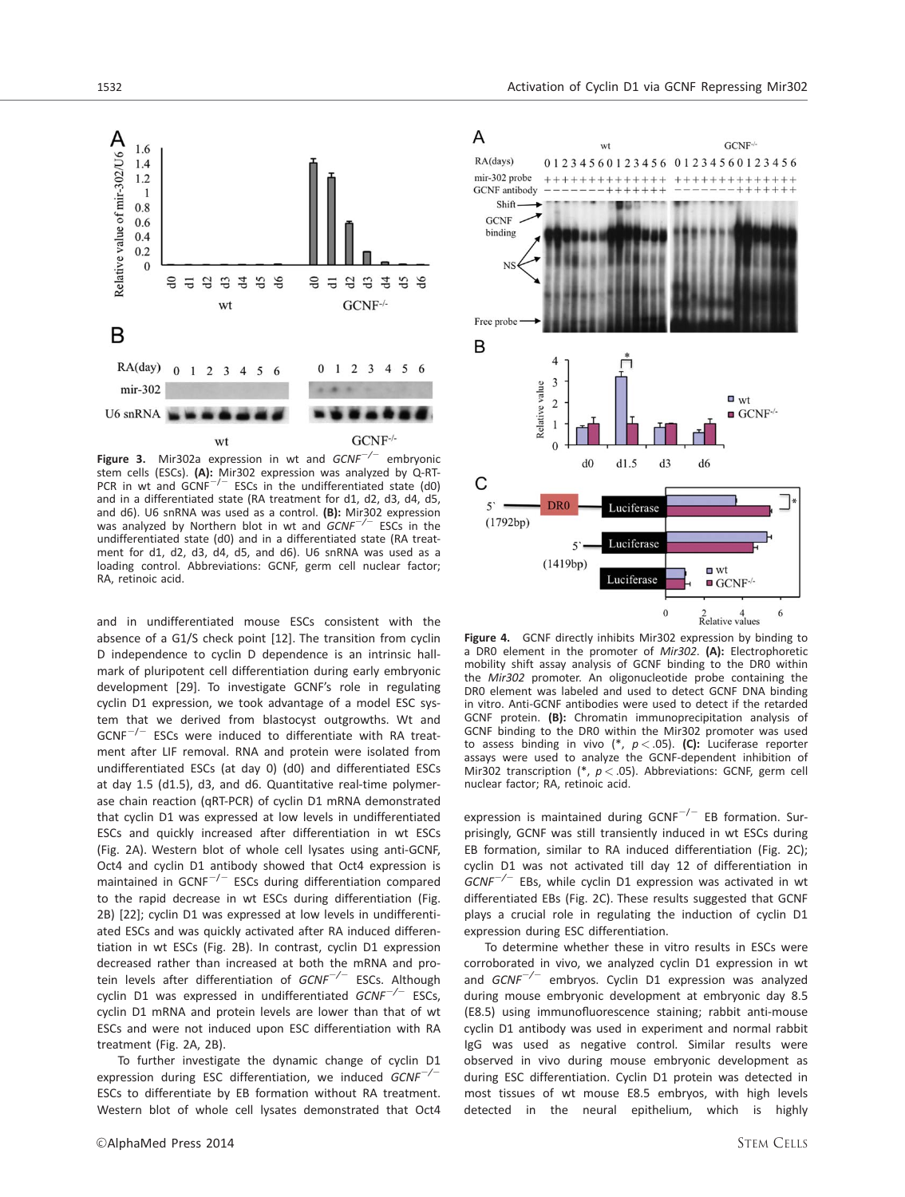

Figure 3. Mir302a expression in wt and  $GCNF^{-/-}$  embryonic stem cells (ESCs). (A): Mir302 expression was analyzed by Q-RT-<br>PCR in wt and GCNF<sup>-/-</sup> ESCs in the undifferentiated state (d0) and in a differentiated state (RA treatment for d1, d2, d3, d4, d5, and d6). U6 snRNA was used as a control. (B): Mir302 expression was analyzed by Northern blot in wt and  $GCNF^{-/-}$  ESCs in the undifferentiated state (d0) and in a differentiated state (RA treatment for d1, d2, d3, d4, d5, and d6). U6 snRNA was used as a loading control. Abbreviations: GCNF, germ cell nuclear factor; RA, retinoic acid.

and in undifferentiated mouse ESCs consistent with the absence of a G1/S check point [12]. The transition from cyclin D independence to cyclin D dependence is an intrinsic hallmark of pluripotent cell differentiation during early embryonic development [29]. To investigate GCNF's role in regulating cyclin D1 expression, we took advantage of a model ESC system that we derived from blastocyst outgrowths. Wt and  $GCNF^{-/-}$  ESCs were induced to differentiate with RA treatment after LIF removal. RNA and protein were isolated from undifferentiated ESCs (at day 0) (d0) and differentiated ESCs at day 1.5 (d1.5), d3, and d6. Quantitative real-time polymerase chain reaction (qRT-PCR) of cyclin D1 mRNA demonstrated that cyclin D1 was expressed at low levels in undifferentiated ESCs and quickly increased after differentiation in wt ESCs (Fig. 2A). Western blot of whole cell lysates using anti-GCNF, Oct4 and cyclin D1 antibody showed that Oct4 expression is maintained in  $GCNF^{-/-}$  ESCs during differentiation compared to the rapid decrease in wt ESCs during differentiation (Fig. 2B) [22]; cyclin D1 was expressed at low levels in undifferentiated ESCs and was quickly activated after RA induced differentiation in wt ESCs (Fig. 2B). In contrast, cyclin D1 expression decreased rather than increased at both the mRNA and protein levels after differentiation of  $GCNF^{-/-}$  ESCs. Although cyclin D1 was expressed in undifferentiated  $GCNF^{-/-}$  ESCs, cyclin D1 mRNA and protein levels are lower than that of wt ESCs and were not induced upon ESC differentiation with RA treatment (Fig. 2A, 2B).

To further investigate the dynamic change of cyclin D1 expression during ESC differentiation, we induced  $GCNF^{-/-}$ ESCs to differentiate by EB formation without RA treatment. Western blot of whole cell lysates demonstrated that Oct4



Figure 4. GCNF directly inhibits Mir302 expression by binding to a DR0 element in the promoter of Mir302. (A): Electrophoretic mobility shift assay analysis of GCNF binding to the DR0 within the Mir302 promoter. An oligonucleotide probe containing the DR0 element was labeled and used to detect GCNF DNA binding in vitro. Anti-GCNF antibodies were used to detect if the retarded GCNF protein. (B): Chromatin immunoprecipitation analysis of GCNF binding to the DR0 within the Mir302 promoter was used to assess binding in vivo  $(*, p < .05)$ . (C): Luciferase reporter assays were used to analyze the GCNF-dependent inhibition of Mir302 transcription (\*,  $p < .05$ ). Abbreviations: GCNF, germ cell nuclear factor; RA, retinoic acid.

expression is maintained during  $GCNF^{-/-}$  EB formation. Surprisingly, GCNF was still transiently induced in wt ESCs during EB formation, similar to RA induced differentiation (Fig. 2C); cyclin D1 was not activated till day 12 of differentiation in  $GCNF^{-/-}$  EBs, while cyclin D1 expression was activated in wt differentiated EBs (Fig. 2C). These results suggested that GCNF plays a crucial role in regulating the induction of cyclin D1 expression during ESC differentiation.

To determine whether these in vitro results in ESCs were corroborated in vivo, we analyzed cyclin D1 expression in wt and  $GCNF^{-/-}$  embryos. Cyclin D1 expression was analyzed during mouse embryonic development at embryonic day 8.5 (E8.5) using immunofluorescence staining; rabbit anti-mouse cyclin D1 antibody was used in experiment and normal rabbit IgG was used as negative control. Similar results were observed in vivo during mouse embryonic development as during ESC differentiation. Cyclin D1 protein was detected in most tissues of wt mouse E8.5 embryos, with high levels detected in the neural epithelium, which is highly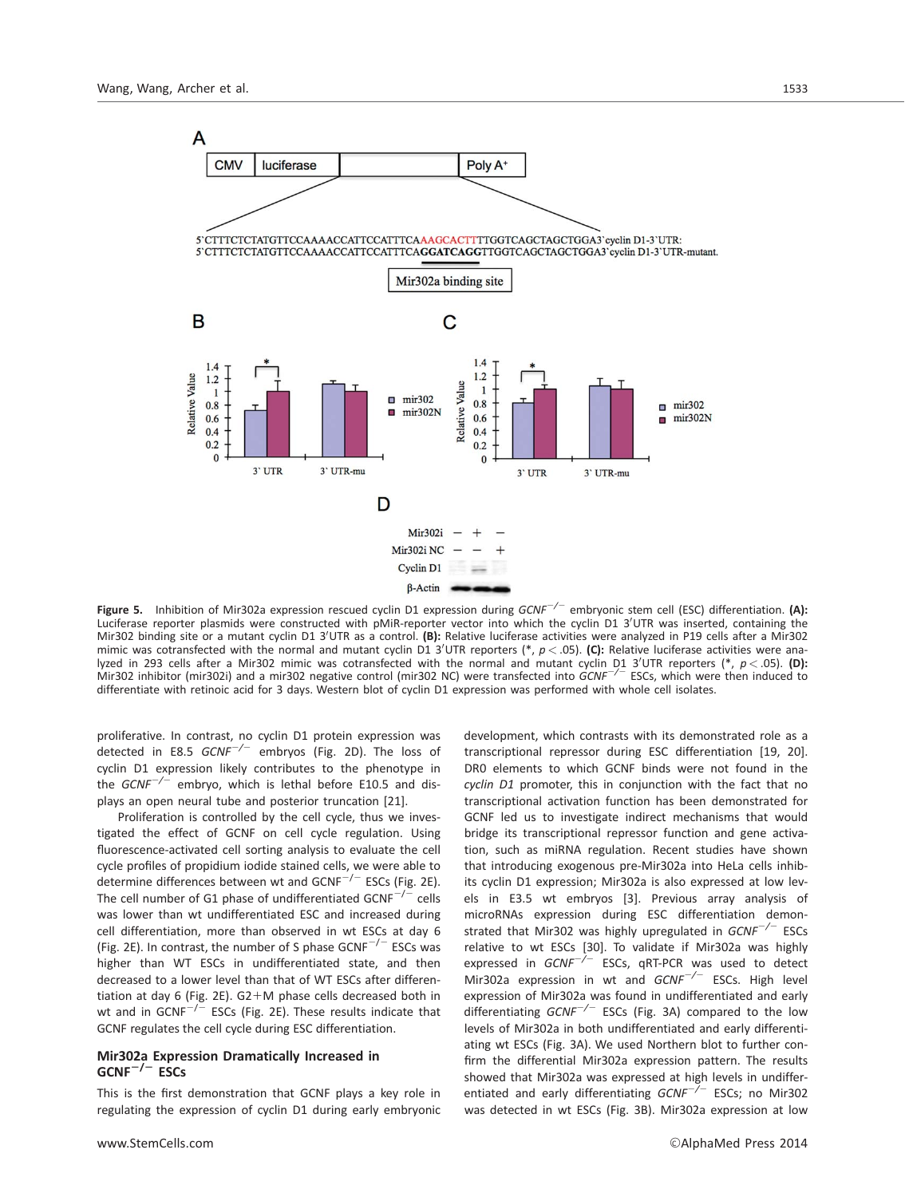

Figure 5. Inhibition of Mir302a expression rescued cyclin D1 expression during  $GCNF^{-/-}$  embryonic stem cell (ESC) differentiation. (A): Luciferase reporter plasmids were constructed with pMiR-reporter vector into which the cyclin D1 3'UTR was inserted, containing the Mir302 binding site or a mutant cyclin D1 3'UTR as a control. (B): Relative luciferase activities were analyzed in P19 cells after a Mir302 mimic was cotransfected with the normal and mutant cyclin D1 3'UTR reporters (\*,  $p < .05$ ). (C): Relative luciferase activities were analyzed in 293 cells after a Mir302 mimic was cotransfected with the normal and mutant cyclin D1 3'UTR reporters (\*, p< 05). **(D):**<br>Mir302 inhibitor (mir302i) and a mir302 negative control (mir302 NC) were transfected into differentiate with retinoic acid for 3 days. Western blot of cyclin D1 expression was performed with whole cell isolates.

proliferative. In contrast, no cyclin D1 protein expression was detected in E8.5  $GCNF^{-/-}$  embryos (Fig. 2D). The loss of cyclin D1 expression likely contributes to the phenotype in the  $GCNF^{-/-}$  embryo, which is lethal before E10.5 and displays an open neural tube and posterior truncation [21].

Proliferation is controlled by the cell cycle, thus we investigated the effect of GCNF on cell cycle regulation. Using fluorescence-activated cell sorting analysis to evaluate the cell cycle profiles of propidium iodide stained cells, we were able to determine differences between wt and  $GCNF^{-/-}$  ESCs (Fig. 2E). The cell number of G1 phase of undifferentiated  $GCNF^{-/-}$  cells was lower than wt undifferentiated ESC and increased during cell differentiation, more than observed in wt ESCs at day 6 (Fig. 2E). In contrast, the number of S phase  $GCNF^{-/-}$  ESCs was higher than WT ESCs in undifferentiated state, and then decreased to a lower level than that of WT ESCs after differentiation at day 6 (Fig. 2E).  $G2+M$  phase cells decreased both in wt and in  $GCNF^{-/-}$  ESCs (Fig. 2E). These results indicate that GCNF regulates the cell cycle during ESC differentiation.

# Mir302a Expression Dramatically Increased in  $GCNF^{-/-}$  ESCs

This is the first demonstration that GCNF plays a key role in regulating the expression of cyclin D1 during early embryonic

development, which contrasts with its demonstrated role as a transcriptional repressor during ESC differentiation [19, 20]. DR0 elements to which GCNF binds were not found in the cyclin D1 promoter, this in conjunction with the fact that no transcriptional activation function has been demonstrated for GCNF led us to investigate indirect mechanisms that would bridge its transcriptional repressor function and gene activation, such as miRNA regulation. Recent studies have shown that introducing exogenous pre-Mir302a into HeLa cells inhibits cyclin D1 expression; Mir302a is also expressed at low levels in E3.5 wt embryos [3]. Previous array analysis of microRNAs expression during ESC differentiation demonstrated that Mir302 was highly upregulated in  $GCNF^{-/-}$  ESCs relative to wt ESCs [30]. To validate if Mir302a was highly expressed in  $GCNF^{-/-}$  ESCs, qRT-PCR was used to detect Mir302a expression in wt and  $GCNF^{-/-}$  ESCs. High level expression of Mir302a was found in undifferentiated and early differentiating  $GCNF^{-/-}$  ESCs (Fig. 3A) compared to the low levels of Mir302a in both undifferentiated and early differentiating wt ESCs (Fig. 3A). We used Northern blot to further confirm the differential Mir302a expression pattern. The results showed that Mir302a was expressed at high levels in undifferentiated and early differentiating  $GCNF^{-/-}$  ESCs; no Mir302 was detected in wt ESCs (Fig. 3B). Mir302a expression at low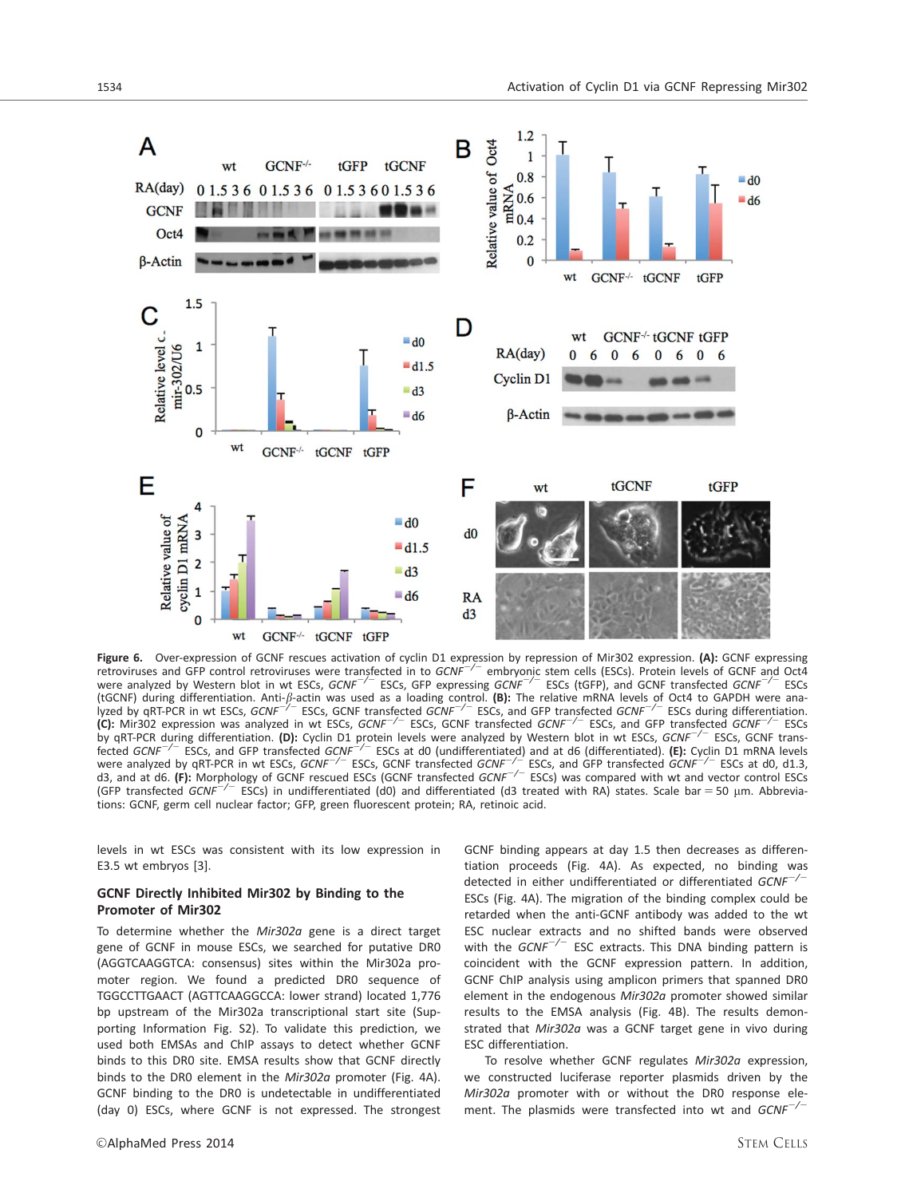

Figure 6. Over-expression of GCNF rescues activation of cyclin D1 expression by repression of Mir302 expression. (A): GCNF expressing<br>retroviruses and GFP control retroviruses were transfected in to *GCNF<sup>-/-</sup>* embryonic s were analyzed by Western blot in wt ESCs, GCNF<sup>-/-</sup> ESCs, GFP expressing GCNF<sup>-/-</sup> ESCs (tGFP), and GCNF transfected GCNF<sup>-/-</sup> ESCs (tGCNF) during differentiation. Anti-ß-actin was used as a loading control. **(B):** The relative mRNA levels of Oct4 to GAPDH were ana-<br>lyzed by qRT-PCR in wt ESCs, *GCNF<sup>-/–</sup>* ESCs, GCNF transfected *GCNF<sup>-/–</sup>* ESCs, and G (C): Mir302 expression was analyzed in wt ESCs,  $GCNF^{-7}$  ESCs, GCNF transfected  $GCNF^{-7}$  ESCs, and GFP transfected  $GCNF^{-7}$  ESCs by qRT-PCR during differentiation. (D): Cyclin D1 protein levels were analyzed by Western blot in wt ESCs,  $GCNF^{-/-}$  ESCs, GCNF transfected *GCNF<sup>-/-</sup>* ESCs, and GFP transfected *GCNF<sup>-/-</sup>* ESCs at d0 (undifferentiated) and at d6 (differentiated). (E): Cyclin D1 mRNA levels were analyzed by qRT-PCR in wt ESCs, GCNF<sup>-/-</sup> ESCs, GCNF transfected GCNF<sup>-/-</sup> ESCs, and GFP transfected GCNF<sup>-/-</sup> ESCs at d0, d1.3, d3, and at d6. (F): Morphology of GCNF rescued ESCs (GCNF transfected  $GCNF^{-/-}$  ESCs) was compared with wt and vector control ESCs (GFP transfected *GCNF<sup>-/-</sup>* ESCs) in undifferentiated (d0) and differentiated (d3 treated with RA) states. Scale bar = 50 µm. Abbreviations: GCNF, germ cell nuclear factor; GFP, green fluorescent protein; RA, retinoic acid.

levels in wt ESCs was consistent with its low expression in E3.5 wt embryos [3].

# GCNF Directly Inhibited Mir302 by Binding to the Promoter of Mir302

To determine whether the Mir302a gene is a direct target gene of GCNF in mouse ESCs, we searched for putative DR0 (AGGTCAAGGTCA: consensus) sites within the Mir302a promoter region. We found a predicted DR0 sequence of TGGCCTTGAACT (AGTTCAAGGCCA: lower strand) located 1,776 bp upstream of the Mir302a transcriptional start site (Supporting Information Fig. S2). To validate this prediction, we used both EMSAs and ChIP assays to detect whether GCNF binds to this DR0 site. EMSA results show that GCNF directly binds to the DR0 element in the Mir302a promoter (Fig. 4A). GCNF binding to the DR0 is undetectable in undifferentiated (day 0) ESCs, where GCNF is not expressed. The strongest GCNF binding appears at day 1.5 then decreases as differentiation proceeds (Fig. 4A). As expected, no binding was detected in either undifferentiated or differentiated  $GCNF^{-/-}$ ESCs (Fig. 4A). The migration of the binding complex could be retarded when the anti-GCNF antibody was added to the wt ESC nuclear extracts and no shifted bands were observed with the  $GCNF^{-/-}$  ESC extracts. This DNA binding pattern is coincident with the GCNF expression pattern. In addition, GCNF ChIP analysis using amplicon primers that spanned DR0 element in the endogenous Mir302a promoter showed similar results to the EMSA analysis (Fig. 4B). The results demonstrated that Mir302a was a GCNF target gene in vivo during ESC differentiation.

To resolve whether GCNF regulates Mir302a expression, we constructed luciferase reporter plasmids driven by the Mir302a promoter with or without the DR0 response element. The plasmids were transfected into wt and  $GCNF^{-/-}$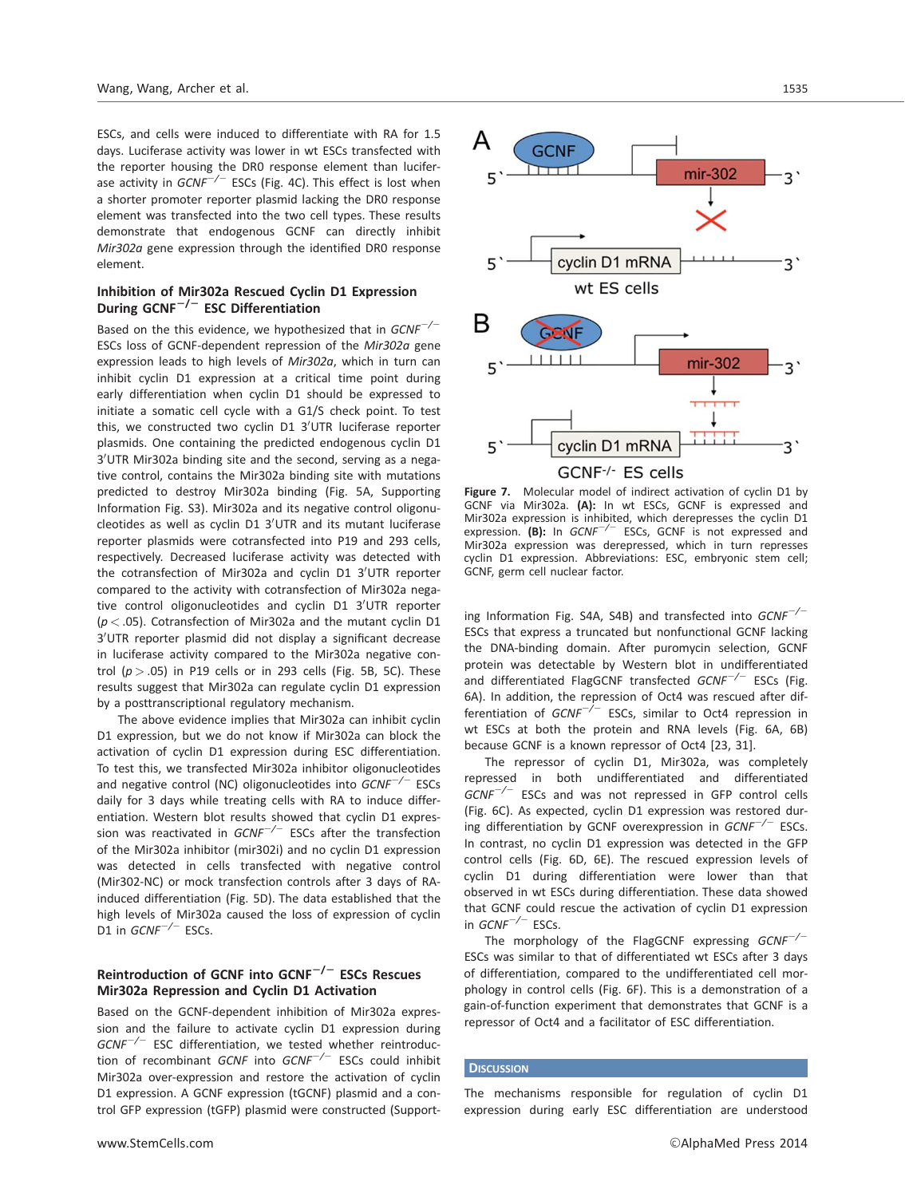ESCs, and cells were induced to differentiate with RA for 1.5 days. Luciferase activity was lower in wt ESCs transfected with the reporter housing the DR0 response element than luciferase activity in  $GCNF^{-/-}$  ESCs (Fig. 4C). This effect is lost when a shorter promoter reporter plasmid lacking the DR0 response element was transfected into the two cell types. These results demonstrate that endogenous GCNF can directly inhibit Mir302a gene expression through the identified DR0 response element.

## Inhibition of Mir302a Rescued Cyclin D1 Expression During  $GCNF^{-/-}$  ESC Differentiation

Based on the this evidence, we hypothesized that in  $GCNF^{-/-}$ ESCs loss of GCNF-dependent repression of the Mir302a gene expression leads to high levels of Mir302a, which in turn can inhibit cyclin D1 expression at a critical time point during early differentiation when cyclin D1 should be expressed to initiate a somatic cell cycle with a G1/S check point. To test this, we constructed two cyclin D1 3'UTR luciferase reporter plasmids. One containing the predicted endogenous cyclin D1 3'UTR Mir302a binding site and the second, serving as a negative control, contains the Mir302a binding site with mutations predicted to destroy Mir302a binding (Fig. 5A, Supporting Information Fig. S3). Mir302a and its negative control oligonucleotides as well as cyclin D1 3'UTR and its mutant luciferase reporter plasmids were cotransfected into P19 and 293 cells, respectively. Decreased luciferase activity was detected with the cotransfection of Mir302a and cyclin D1 3'UTR reporter compared to the activity with cotransfection of Mir302a negative control oligonucleotides and cyclin D1 3'UTR reporter  $(p < .05)$ . Cotransfection of Mir302a and the mutant cyclin D1 3'UTR reporter plasmid did not display a significant decrease in luciferase activity compared to the Mir302a negative control ( $p > .05$ ) in P19 cells or in 293 cells (Fig. 5B, 5C). These results suggest that Mir302a can regulate cyclin D1 expression by a posttranscriptional regulatory mechanism.

The above evidence implies that Mir302a can inhibit cyclin D1 expression, but we do not know if Mir302a can block the activation of cyclin D1 expression during ESC differentiation. To test this, we transfected Mir302a inhibitor oligonucleotides and negative control (NC) oligonucleotides into  $GCNF^{-/-}$  ESCs daily for 3 days while treating cells with RA to induce differentiation. Western blot results showed that cyclin D1 expression was reactivated in  $GCNF^{-/-}$  ESCs after the transfection of the Mir302a inhibitor (mir302i) and no cyclin D1 expression was detected in cells transfected with negative control (Mir302-NC) or mock transfection controls after 3 days of RAinduced differentiation (Fig. 5D). The data established that the high levels of Mir302a caused the loss of expression of cyclin D1 in  $GCNF^{-/-}$  ESCs.

# Reintroduction of GCNF into GCNF $^{-/-}$  ESCs Rescues Mir302a Repression and Cyclin D1 Activation

Based on the GCNF-dependent inhibition of Mir302a expression and the failure to activate cyclin D1 expression during  $GCNF^{-/-}$  ESC differentiation, we tested whether reintroduction of recombinant GCNF into  $GCNF^{-/-}$  ESCs could inhibit Mir302a over-expression and restore the activation of cyclin D1 expression. A GCNF expression (tGCNF) plasmid and a control GFP expression (tGFP) plasmid were constructed (Support-



Figure 7. Molecular model of indirect activation of cyclin D1 by GCNF via Mir302a. (A): In wt ESCs, GCNF is expressed and Mir302a expression is inhibited, which derepresses the cyclin D1 expression. (B): In  $GCNF^{-/-}$  ESCs, GCNF is not expressed and Mir302a expression was derepressed, which in turn represses cyclin D1 expression. Abbreviations: ESC, embryonic stem cell; GCNF, germ cell nuclear factor.

ing Information Fig. S4A, S4B) and transfected into  $GCNF^{-/-}$ ESCs that express a truncated but nonfunctional GCNF lacking the DNA-binding domain. After puromycin selection, GCNF protein was detectable by Western blot in undifferentiated and differentiated FlagGCNF transfected  $GCNF^{-/-}$  ESCs (Fig. 6A). In addition, the repression of Oct4 was rescued after differentiation of  $GCNF^{-/-}$  ESCs, similar to Oct4 repression in wt ESCs at both the protein and RNA levels (Fig. 6A, 6B) because GCNF is a known repressor of Oct4 [23, 31].

The repressor of cyclin D1, Mir302a, was completely repressed in both undifferentiated and differentiated  $GCNF^{-/-}$  ESCs and was not repressed in GFP control cells (Fig. 6C). As expected, cyclin D1 expression was restored during differentiation by GCNF overexpression in  $GCNF^{-/-}$  ESCs. In contrast, no cyclin D1 expression was detected in the GFP control cells (Fig. 6D, 6E). The rescued expression levels of cyclin D1 during differentiation were lower than that observed in wt ESCs during differentiation. These data showed that GCNF could rescue the activation of cyclin D1 expression in  $GCNF^{-/-}$  ESCs.

The morphology of the FlagGCNF expressing  $GCNF^{-/-}$ ESCs was similar to that of differentiated wt ESCs after 3 days of differentiation, compared to the undifferentiated cell morphology in control cells (Fig. 6F). This is a demonstration of a gain-of-function experiment that demonstrates that GCNF is a repressor of Oct4 and a facilitator of ESC differentiation.

## **DISCUSSION**

The mechanisms responsible for regulation of cyclin D1 expression during early ESC differentiation are understood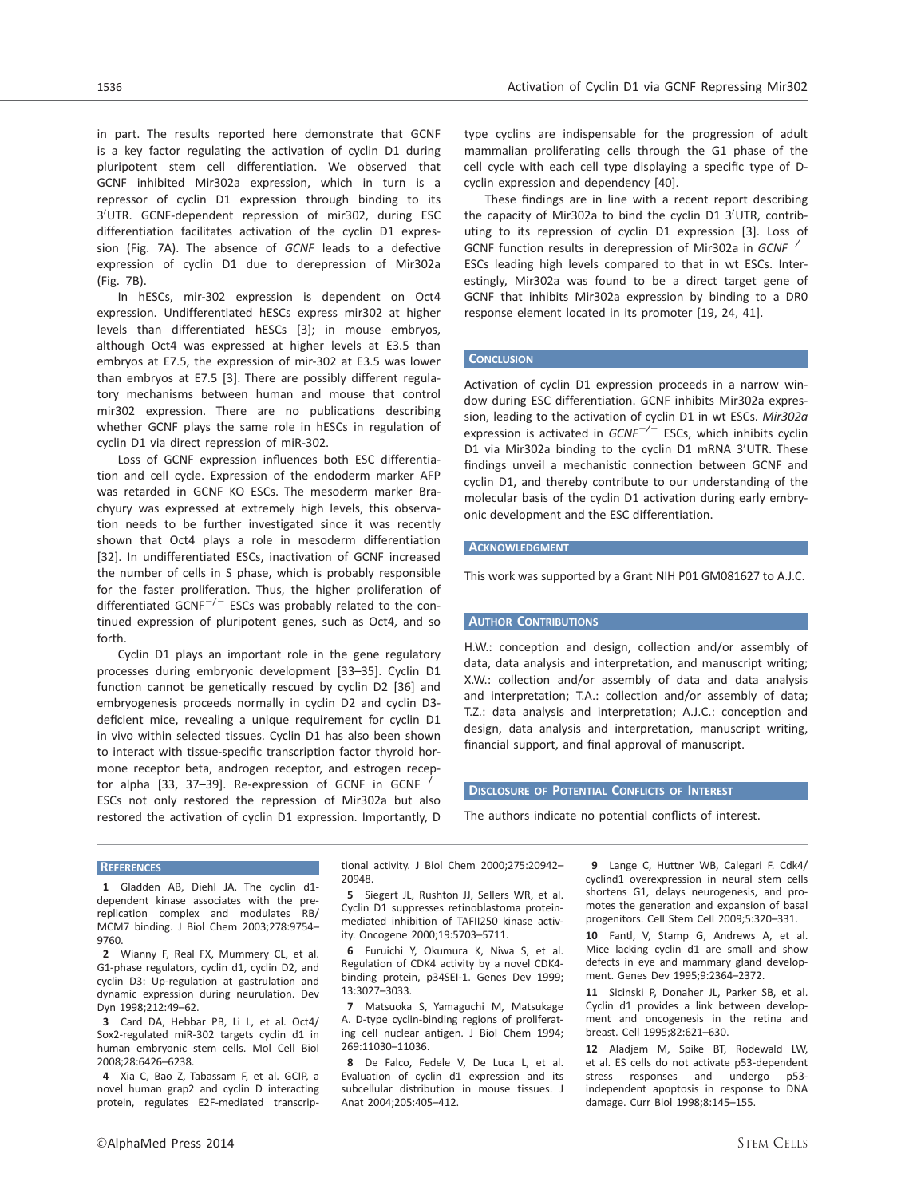in part. The results reported here demonstrate that GCNF is a key factor regulating the activation of cyclin D1 during pluripotent stem cell differentiation. We observed that GCNF inhibited Mir302a expression, which in turn is a repressor of cyclin D1 expression through binding to its 3'UTR. GCNF-dependent repression of mir302, during ESC differentiation facilitates activation of the cyclin D1 expression (Fig. 7A). The absence of GCNF leads to a defective expression of cyclin D1 due to derepression of Mir302a (Fig. 7B).

In hESCs, mir-302 expression is dependent on Oct4 expression. Undifferentiated hESCs express mir302 at higher levels than differentiated hESCs [3]; in mouse embryos, although Oct4 was expressed at higher levels at E3.5 than embryos at E7.5, the expression of mir-302 at E3.5 was lower than embryos at E7.5 [3]. There are possibly different regulatory mechanisms between human and mouse that control mir302 expression. There are no publications describing whether GCNF plays the same role in hESCs in regulation of cyclin D1 via direct repression of miR-302.

Loss of GCNF expression influences both ESC differentiation and cell cycle. Expression of the endoderm marker AFP was retarded in GCNF KO ESCs. The mesoderm marker Brachyury was expressed at extremely high levels, this observation needs to be further investigated since it was recently shown that Oct4 plays a role in mesoderm differentiation [32]. In undifferentiated ESCs, inactivation of GCNF increased the number of cells in S phase, which is probably responsible for the faster proliferation. Thus, the higher proliferation of differentiated GCNF<sup> $-/-$ </sup> ESCs was probably related to the continued expression of pluripotent genes, such as Oct4, and so forth.

Cyclin D1 plays an important role in the gene regulatory processes during embryonic development [33–35]. Cyclin D1 function cannot be genetically rescued by cyclin D2 [36] and embryogenesis proceeds normally in cyclin D2 and cyclin D3 deficient mice, revealing a unique requirement for cyclin D1 in vivo within selected tissues. Cyclin D1 has also been shown to interact with tissue-specific transcription factor thyroid hormone receptor beta, androgen receptor, and estrogen receptor alpha [33, 37-39]. Re-expression of GCNF in  $GCNF^{-/2}$ ESCs not only restored the repression of Mir302a but also restored the activation of cyclin D1 expression. Importantly, D

type cyclins are indispensable for the progression of adult mammalian proliferating cells through the G1 phase of the cell cycle with each cell type displaying a specific type of Dcyclin expression and dependency [40].

These findings are in line with a recent report describing the capacity of Mir302a to bind the cyclin D1 3'UTR, contributing to its repression of cyclin D1 expression [3]. Loss of GCNF function results in derepression of Mir302a in  $GCNF^{-/-}$ ESCs leading high levels compared to that in wt ESCs. Interestingly, Mir302a was found to be a direct target gene of GCNF that inhibits Mir302a expression by binding to a DR0 response element located in its promoter [19, 24, 41].

## **CONCLUSION**

Activation of cyclin D1 expression proceeds in a narrow window during ESC differentiation. GCNF inhibits Mir302a expression, leading to the activation of cyclin D1 in wt ESCs. Mir302a expression is activated in  $GCNF^{-/-}$  ESCs, which inhibits cyclin D1 via Mir302a binding to the cyclin D1 mRNA 3'UTR. These findings unveil a mechanistic connection between GCNF and cyclin D1, and thereby contribute to our understanding of the molecular basis of the cyclin D1 activation during early embryonic development and the ESC differentiation.

#### **ACKNOWLEDGMENT**

This work was supported by a Grant NIH P01 GM081627 to A.J.C.

#### **AUTHOR CONTRIBUTIONS**

H.W.: conception and design, collection and/or assembly of data, data analysis and interpretation, and manuscript writing; X.W.: collection and/or assembly of data and data analysis and interpretation; T.A.: collection and/or assembly of data; T.Z.: data analysis and interpretation; A.J.C.: conception and design, data analysis and interpretation, manuscript writing, financial support, and final approval of manuscript.

# DISCLOSURE OF POTENTIAL CONFLICTS OF INTEREST

The authors indicate no potential conflicts of interest.

#### **REFERENCES**

1 Gladden AB, Diehl JA. The cyclin d1 dependent kinase associates with the prereplication complex and modulates RB/ MCM7 binding. J Biol Chem 2003;278:9754– 9760.

2 Wianny F, Real FX, Mummery CL, et al. G1-phase regulators, cyclin d1, cyclin D2, and cyclin D3: Up-regulation at gastrulation and dynamic expression during neurulation. Dev Dyn 1998;212:49–62.

3 Card DA, Hebbar PB, Li L, et al. Oct4/ Sox2-regulated miR-302 targets cyclin d1 in human embryonic stem cells. Mol Cell Biol 2008;28:6426–6238.

4 Xia C, Bao Z, Tabassam F, et al. GCIP, a novel human grap2 and cyclin D interacting protein, regulates E2F-mediated transcriptional activity. J Biol Chem 2000;275:20942– 20948.

5 Siegert JL, Rushton JJ, Sellers WR, et al. Cyclin D1 suppresses retinoblastoma proteinmediated inhibition of TAFII250 kinase activity. Oncogene 2000;19:5703–5711.

6 Furuichi Y, Okumura K, Niwa S, et al. Regulation of CDK4 activity by a novel CDK4 binding protein, p34SEI-1. Genes Dev 1999; 13:3027–3033.

7 Matsuoka S, Yamaguchi M, Matsukage A. D-type cyclin-binding regions of proliferating cell nuclear antigen. J Biol Chem 1994; 269:11030–11036.

8 De Falco, Fedele V, De Luca L, et al. Evaluation of cyclin d1 expression and its subcellular distribution in mouse tissues. J Anat 2004;205:405–412.

9 Lange C, Huttner WB, Calegari F. Cdk4/ cyclind1 overexpression in neural stem cells shortens G1, delays neurogenesis, and promotes the generation and expansion of basal progenitors. Cell Stem Cell 2009;5:320–331.

10 Fantl, V, Stamp G, Andrews A, et al. Mice lacking cyclin d1 are small and show defects in eye and mammary gland development. Genes Dev 1995;9:2364–2372.

11 Sicinski P, Donaher JL, Parker SB, et al. Cyclin d1 provides a link between development and oncogenesis in the retina and breast. Cell 1995;82:621–630.

12 Aladjem M, Spike BT, Rodewald LW, et al. ES cells do not activate p53-dependent stress responses and undergo p53 independent apoptosis in response to DNA damage. Curr Biol 1998;8:145–155.